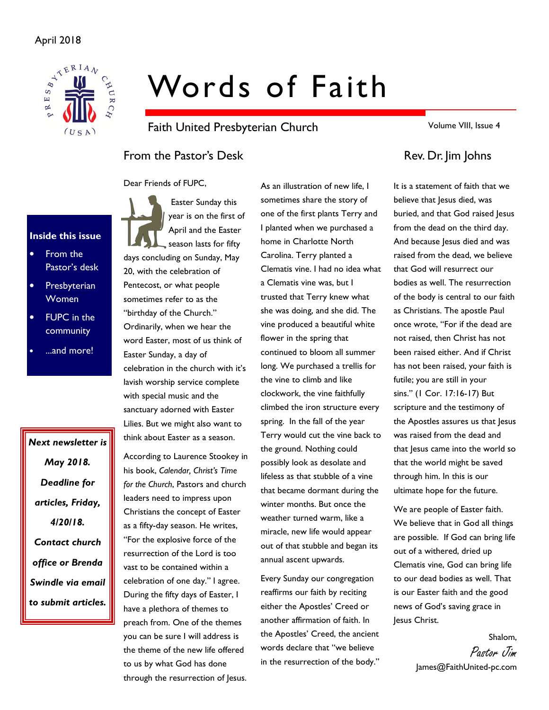

# Words of Faith

Faith United Presbyterian Church

From the Pastor's Desk Rev. Dr. Jim Johns

Dear Friends of FUPC,

# Inside this issue

- From the Pastor's desk
- **Presbyterian** Women
- **FUPC** in the community
- ...and more!

Next newsletter is May 2018. Deadline for articles, Friday, 4/20/18. Contact church office or Brenda Swindle via email to submit articles.

 Easter Sunday this year is on the first of April and the Easter season lasts for fifty days concluding on Sunday, May 20, with the celebration of Pentecost, or what people sometimes refer to as the "birthday of the Church." Ordinarily, when we hear the word Easter, most of us think of Easter Sunday, a day of celebration in the church with it's lavish worship service complete with special music and the sanctuary adorned with Easter Lilies. But we might also want to think about Easter as a season.

According to Laurence Stookey in his book, Calendar, Christ's Time for the Church, Pastors and church leaders need to impress upon Christians the concept of Easter as a fifty-day season. He writes, "For the explosive force of the resurrection of the Lord is too vast to be contained within a celebration of one day." I agree. During the fifty days of Easter, I have a plethora of themes to preach from. One of the themes you can be sure I will address is the theme of the new life offered to us by what God has done through the resurrection of Jesus.

As an illustration of new life, I sometimes share the story of one of the first plants Terry and I planted when we purchased a home in Charlotte North Carolina. Terry planted a Clematis vine. I had no idea what a Clematis vine was, but I trusted that Terry knew what she was doing, and she did. The vine produced a beautiful white flower in the spring that continued to bloom all summer long. We purchased a trellis for the vine to climb and like clockwork, the vine faithfully climbed the iron structure every spring. In the fall of the year Terry would cut the vine back to the ground. Nothing could possibly look as desolate and lifeless as that stubble of a vine that became dormant during the winter months. But once the weather turned warm, like a miracle, new life would appear out of that stubble and began its

Every Sunday our congregation reaffirms our faith by reciting either the Apostles' Creed or another affirmation of faith. In the Apostles' Creed, the ancient words declare that "we believe in the resurrection of the body."

annual ascent upwards.

Volume VIII, Issue 4

It is a statement of faith that we believe that lesus died, was buried, and that God raised Jesus from the dead on the third day. And because Jesus died and was raised from the dead, we believe that God will resurrect our bodies as well. The resurrection of the body is central to our faith as Christians. The apostle Paul once wrote, "For if the dead are not raised, then Christ has not been raised either. And if Christ has not been raised, your faith is futile; you are still in your sins." (1 Cor. 17:16-17) But scripture and the testimony of the Apostles assures us that Jesus was raised from the dead and that Jesus came into the world so that the world might be saved through him. In this is our ultimate hope for the future.

We are people of Easter faith. We believe that in God all things are possible. If God can bring life out of a withered, dried up Clematis vine, God can bring life to our dead bodies as well. That is our Easter faith and the good news of God's saving grace in Jesus Christ.

> Shalom, Pastor Jim James@FaithUnited-pc.com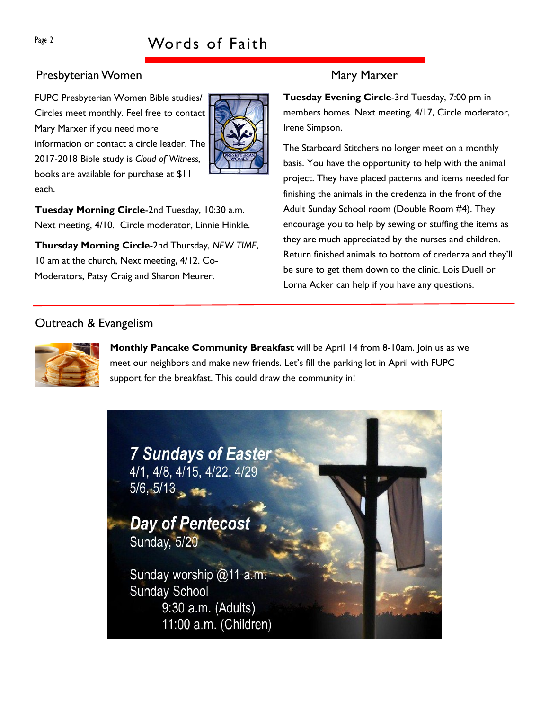# Presbyterian Women Mary Marxer

FUPC Presbyterian Women Bible studies/ Circles meet monthly. Feel free to contact Mary Marxer if you need more information or contact a circle leader. The 2017-2018 Bible study is Cloud of Witness, books are available for purchase at \$11 each.



Tuesday Morning Circle-2nd Tuesday, 10:30 a.m. Next meeting, 4/10. Circle moderator, Linnie Hinkle.

Thursday Morning Circle-2nd Thursday, NEW TIME, 10 am at the church, Next meeting, 4/12. Co-Moderators, Patsy Craig and Sharon Meurer.

Tuesday Evening Circle-3rd Tuesday, 7:00 pm in members homes. Next meeting, 4/17, Circle moderator, Irene Simpson.

The Starboard Stitchers no longer meet on a monthly basis. You have the opportunity to help with the animal project. They have placed patterns and items needed for finishing the animals in the credenza in the front of the Adult Sunday School room (Double Room #4). They encourage you to help by sewing or stuffing the items as they are much appreciated by the nurses and children. Return finished animals to bottom of credenza and they'll be sure to get them down to the clinic. Lois Duell or Lorna Acker can help if you have any questions.

# Outreach & Evangelism



Monthly Pancake Community Breakfast will be April 14 from 8-10am. Join us as we meet our neighbors and make new friends. Let's fill the parking lot in April with FUPC support for the breakfast. This could draw the community in!

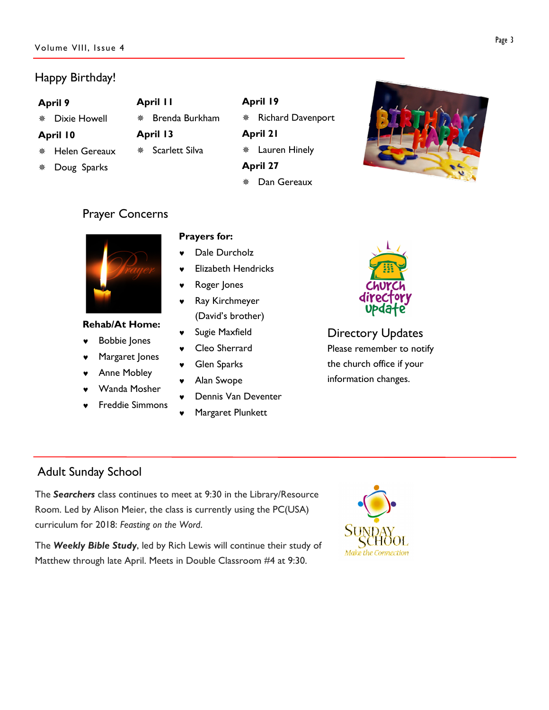## Volume VIII, Issue 4

# Happy Birthday!

## April 9

Dixie Howell

# April 10

- Helen Gereaux
- Doug Sparks
- April 11 Brenda Burkham April 13 Scarlett Silva
- April 19 \* Richard Davenport April 21 Lauren Hinely

April 27

Dan Gereaux



# Prayer Concerns



## Rehab/At Home:

- **Bobbie Jones**
- Margaret Jones
- ♥ Anne Mobley
- Wanda Mosher
- **Freddie Simmons**

# Prayers for:

- Dale Durcholz
- **Flizabeth Hendricks**
- Roger Jones
- ♥ Ray Kirchmeyer (David's brother)
- ♥ Sugie Maxfield
- Cleo Sherrard
- ♥ Glen Sparks
- Alan Swope
- Dennis Van Deventer
- Margaret Plunkett



Directory Updates Please remember to notify the church office if your information changes.

# Adult Sunday School

The Searchers class continues to meet at 9:30 in the Library/Resource Room. Led by Alison Meier, the class is currently using the PC(USA) curriculum for 2018: Feasting on the Word.

The Weekly Bible Study, led by Rich Lewis will continue their study of Matthew through late April. Meets in Double Classroom #4 at 9:30.